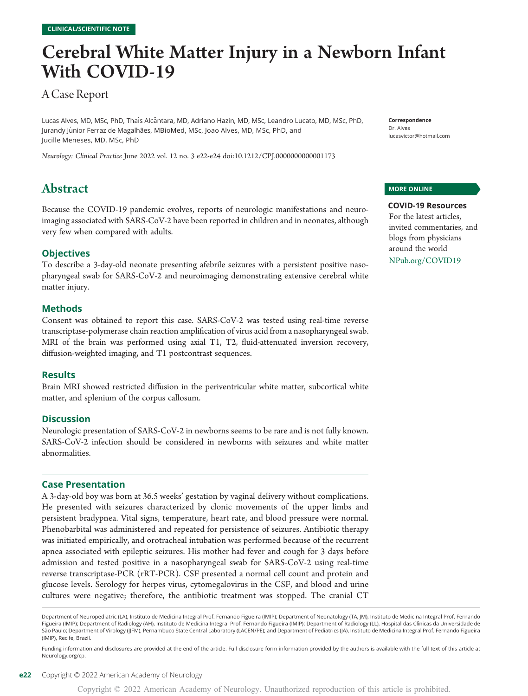# Cerebral White Matter Injury in a Newborn Infant With COVID-19

# A Case Report

Lucas Alves, MD, MSc, PhD, Thaís Alcântara, MD, Adriano Hazin, MD, MSc, Leandro Lucato, MD, MSc, PhD, Jurandy Júnior Ferraz de Magalhães, MBioMed, MSc, Joao Alves, MD, MSc, PhD, and Jucille Meneses, MD, MSc, PhD

Neurology: Clinical Practice June 2022 vol. 12 no. 3 e22-e24 doi:[10.1212/CPJ.0000000000001173](http://dx.doi.org/10.1212/CPJ.0000000000001173)

# Abstract

Because the COVID-19 pandemic evolves, reports of neurologic manifestations and neuroimaging associated with SARS-CoV-2 have been reported in children and in neonates, although very few when compared with adults.

#### **Objectives**

To describe a 3-day-old neonate presenting afebrile seizures with a persistent positive nasopharyngeal swab for SARS-CoV-2 and neuroimaging demonstrating extensive cerebral white matter injury.

#### Methods

Consent was obtained to report this case. SARS-CoV-2 was tested using real-time reverse transcriptase-polymerase chain reaction amplification of virus acid from a nasopharyngeal swab. MRI of the brain was performed using axial T1, T2, fluid-attenuated inversion recovery, diffusion-weighted imaging, and T1 postcontrast sequences.

#### Results

Brain MRI showed restricted diffusion in the periventricular white matter, subcortical white matter, and splenium of the corpus callosum.

#### **Discussion**

Neurologic presentation of SARS-CoV-2 in newborns seems to be rare and is not fully known. SARS-CoV-2 infection should be considered in newborns with seizures and white matter abnormalities.

#### Case Presentation

A 3-day-old boy was born at 36.5 weeks' gestation by vaginal delivery without complications. He presented with seizures characterized by clonic movements of the upper limbs and persistent bradypnea. Vital signs, temperature, heart rate, and blood pressure were normal. Phenobarbital was administered and repeated for persistence of seizures. Antibiotic therapy was initiated empirically, and orotracheal intubation was performed because of the recurrent apnea associated with epileptic seizures. His mother had fever and cough for 3 days before admission and tested positive in a nasopharyngeal swab for SARS-CoV-2 using real-time reverse transcriptase-PCR (rRT-PCR). CSF presented a normal cell count and protein and glucose levels. Serology for herpes virus, cytomegalovirus in the CSF, and blood and urine cultures were negative; therefore, the antibiotic treatment was stopped. The cranial CT

Department of Neuropediatric (LA), Instituto de Medicina Integral Prof. Fernando Figueira (IMIP); Department of Neonatology (TA, JM), Instituto de Medicina Integral Prof. Fernando Figueira (IMIP); Department of Radiology (AH), Instituto de Medicina Integral Prof. Fernando Figueira (IMIP); Department of Radiology (LL), Hospital das Clínicas da Universidade de São Paulo; Department of Virology (JJFM), Pernambuco State Central Laboratory (LACEN/PE); and Department of Pediatrics (JA), Instituto de Medicina Integral Prof. Fernando Figueira (IMIP), Recife, Brazil.

Funding information and disclosures are provided at the end of the article. Full disclosure form information provided by the authors is available with the full text of this article at [Neurology.org/cp](https://cp.neurology.org/lookup/doi/10.1212/CPJ.0000000000001173).

Correspondence Dr. Alves [lucasvictor@hotmail.com](mailto:lucasvictor@hotmail.com)

#### MORE ONLINE

COVID-19 Resources For the latest articles, invited commentaries, and blogs from physicians around the world [NPub.org/COVID19](http://NPub.org/COVID19)

Copyright © 2022 American Academy of Neurology. Unauthorized reproduction of this article is prohibited.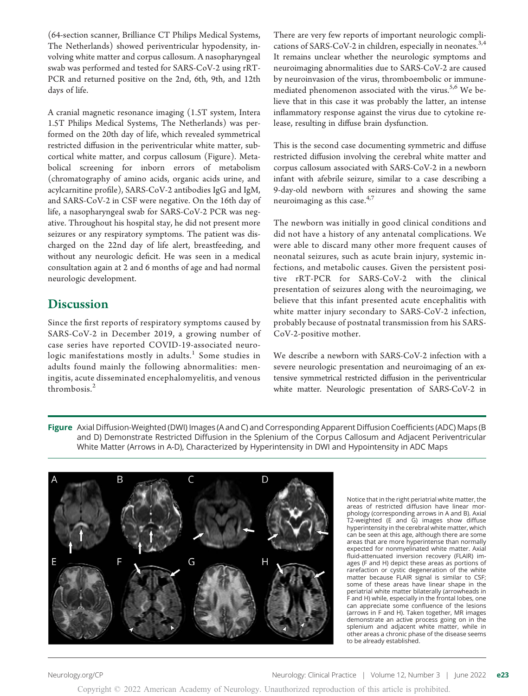(64-section scanner, Brilliance CT Philips Medical Systems, The Netherlands) showed periventricular hypodensity, involving white matter and corpus callosum. A nasopharyngeal swab was performed and tested for SARS-CoV-2 using rRT-PCR and returned positive on the 2nd, 6th, 9th, and 12th days of life.

A cranial magnetic resonance imaging (1.5T system, Intera 1.5T Philips Medical Systems, The Netherlands) was performed on the 20th day of life, which revealed symmetrical restricted diffusion in the periventricular white matter, subcortical white matter, and corpus callosum (Figure). Metabolical screening for inborn errors of metabolism (chromatography of amino acids, organic acids urine, and acylcarnitine profile), SARS-CoV-2 antibodies IgG and IgM, and SARS-CoV-2 in CSF were negative. On the 16th day of life, a nasopharyngeal swab for SARS-CoV-2 PCR was negative. Throughout his hospital stay, he did not present more seizures or any respiratory symptoms. The patient was discharged on the 22nd day of life alert, breastfeeding, and without any neurologic deficit. He was seen in a medical consultation again at 2 and 6 months of age and had normal neurologic development.

# **Discussion**

Since the first reports of respiratory symptoms caused by SARS-CoV-2 in December 2019, a growing number of case series have reported COVID-19-associated neurologic manifestations mostly in adults.<sup>1</sup> Some studies in adults found mainly the following abnormalities: meningitis, acute disseminated encephalomyelitis, and venous thrombosis.<sup>2</sup>

There are very few reports of important neurologic complications of SARS-CoV-2 in children, especially in neonates. $3,4$ It remains unclear whether the neurologic symptoms and neuroimaging abnormalities due to SARS-CoV-2 are caused by neuroinvasion of the virus, thromboembolic or immunemediated phenomenon associated with the virus.<sup>5,6</sup> We believe that in this case it was probably the latter, an intense inflammatory response against the virus due to cytokine release, resulting in diffuse brain dysfunction.

This is the second case documenting symmetric and diffuse restricted diffusion involving the cerebral white matter and corpus callosum associated with SARS-CoV-2 in a newborn infant with afebrile seizure, similar to a case describing a 9-day-old newborn with seizures and showing the same neuroimaging as this case.<sup>4,7</sup>

The newborn was initially in good clinical conditions and did not have a history of any antenatal complications. We were able to discard many other more frequent causes of neonatal seizures, such as acute brain injury, systemic infections, and metabolic causes. Given the persistent positive rRT-PCR for SARS-CoV-2 with the clinical presentation of seizures along with the neuroimaging, we believe that this infant presented acute encephalitis with white matter injury secondary to SARS-CoV-2 infection, probably because of postnatal transmission from his SARS-CoV-2-positive mother.

We describe a newborn with SARS-CoV-2 infection with a severe neurologic presentation and neuroimaging of an extensive symmetrical restricted diffusion in the periventricular white matter. Neurologic presentation of SARS-CoV-2 in





Notice that in the right periatrial white matter, the areas of restricted diffusion have linear morphology (corresponding arrows in A and B). Axial T2-weighted (E and G) images show diffuse hyperintensity in the cerebral white matter, which can be seen at this age, although there are some areas that are more hyperintense than normally expected for nonmyelinated white matter. Axial fluid-attenuated inversion recovery (FLAIR) images (F and H) depict these areas as portions of rarefaction or cystic degeneration of the white matter because FLAIR signal is similar to CSF; some of these areas have linear shape in the periatrial white matter bilaterally (arrowheads in F and H) while, especially in the frontal lobes, one can appreciate some confluence of the lesions (arrows in F and H). Taken together, MR images demonstrate an active process going on in the splenium and adjacent white matter, while in other areas a chronic phase of the disease seems to be already established.

Copyright © 2022 American Academy of Neurology. Unauthorized reproduction of this article is prohibited.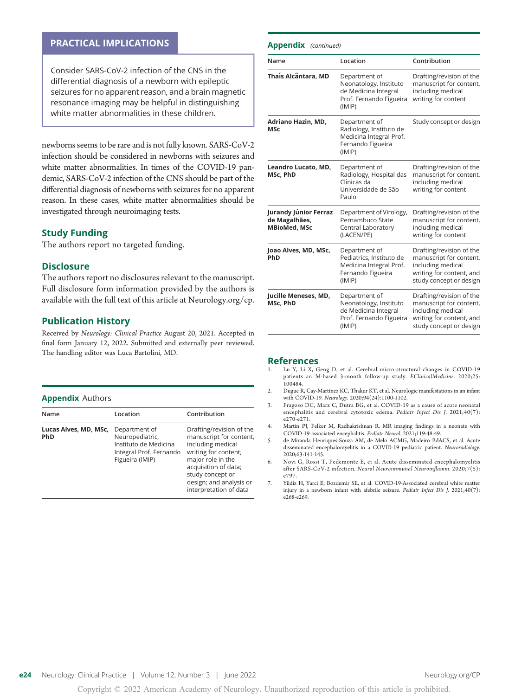#### PRACTICAL IMPLICATIONS

Consider SARS-CoV-2 infection of the CNS in the differential diagnosis of a newborn with epileptic seizures for no apparent reason, and a brain magnetic resonance imaging may be helpful in distinguishing white matter abnormalities in these children.

newborns seems to be rare and is not fully known. SARS-CoV-2 infection should be considered in newborns with seizures and white matter abnormalities. In times of the COVID-19 pandemic, SARS-CoV-2 infection of the CNS should be part of the differential diagnosis of newborns with seizures for no apparent reason. In these cases, white matter abnormalities should be investigated through neuroimaging tests.

#### Study Funding

The authors report no targeted funding.

#### **Disclosure**

The authors report no disclosures relevant to the manuscript. Full disclosure form information provided by the authors is available with the full text of this article at [Neurology.org/cp](https://cp.neurology.org/lookup/doi/10.1212/CPJ.0000000000001173).

#### Publication History

Received by Neurology: Clinical Practice August 20, 2021. Accepted in final form January 12, 2022. Submitted and externally peer reviewed. The handling editor was Luca Bartolini, MD.

#### **Appendix Authors**

| Name                                | Location                                                                                                | Contribution                                                                                                                                                                                                           |
|-------------------------------------|---------------------------------------------------------------------------------------------------------|------------------------------------------------------------------------------------------------------------------------------------------------------------------------------------------------------------------------|
| Lucas Alves, MD, MSc,<br><b>PhD</b> | Department of<br>Neuropediatric,<br>Instituto de Medicina<br>Integral Prof. Fernando<br>Figueira (IMIP) | Drafting/revision of the<br>manuscript for content,<br>including medical<br>writing for content;<br>major role in the<br>acquisition of data;<br>study concept or<br>design; and analysis or<br>interpretation of data |

#### Appendix (continued)

| Name                                                          | Location                                                                                             | Contribution                                                                                                                    |
|---------------------------------------------------------------|------------------------------------------------------------------------------------------------------|---------------------------------------------------------------------------------------------------------------------------------|
| Thaís Alcântara, MD                                           | Department of<br>Neonatology, Instituto<br>de Medicina Integral<br>Prof. Fernando Figueira<br>(IMIP) | Drafting/revision of the<br>manuscript for content,<br>including medical<br>writing for content                                 |
| Adriano Hazin, MD,<br><b>MSc</b>                              | Department of<br>Radiology, Instituto de<br>Medicina Integral Prof.<br>Fernando Figueira<br>(IMIP)   | Study concept or design                                                                                                         |
| Leandro Lucato, MD,<br>MSc, PhD                               | Department of<br>Radiology, Hospital das<br>Clínicas da<br>Universidade de São<br>Paulo              | Drafting/revision of the<br>manuscript for content,<br>including medical<br>writing for content                                 |
| Jurandy Júnior Ferraz<br>de Magalhães,<br><b>MBioMed, MSc</b> | Department of Virology,<br>Pernambuco State<br>Central Laboratory<br>(LACEN/PE)                      | Drafting/revision of the<br>manuscript for content,<br>including medical<br>writing for content                                 |
| Joao Alves, MD, MSc,<br>PhD                                   | Department of<br>Pediatrics, Instituto de<br>Medicina Integral Prof.<br>Fernando Figueira<br>(IMIP)  | Drafting/revision of the<br>manuscript for content,<br>including medical<br>writing for content, and<br>study concept or design |
| Jucille Meneses, MD,<br>MSc, PhD                              | Department of<br>Neonatology, Instituto<br>de Medicina Integral<br>Prof. Fernando Figueira<br>(IMIP) | Drafting/revision of the<br>manuscript for content,<br>including medical<br>writing for content, and<br>study concept or design |

### $R$ eferences

- Lu Y, Li X, Geng D, et al. Cerebral micro-structural changes in COVID-19 patients–an M-based 3-month follow-up study. EClinicalMedicine. 2020;25: 100484.
- 2. Dugue R, Cay-Martínez KC, Thakur KT, et al. Neurologic manifestations in an infant with COVID-19. Neurology. 2020;94(24):1100-1102.
- 3. Fragoso DC, Marx C, Dutra BG, et al. COVID-19 as a cause of acute neonatal encephalitis and cerebral cytotoxic edema. Pediatr Infect Dis J. 2021;40(7): e270-e271.
- 4. Martin PJ, Felker M, Radhakrishnan R. MR imaging findings in a neonate with COVID-19-associated encephalitis. Pediatr Neurol. 2021;119:48-49.
- 5. de Miranda Henriques-Souza AM, de Melo ACMG, Madeiro BdACS, et al. Acute disseminated encephalomyelitis in a COVID-19 pediatric patient. Neuroradiology. 2020;63:141-145.
- 6. Novi G, Rossi T, Pedemonte E, et al. Acute disseminated encephalomyelitis after SARS-CoV-2 infection. Neurol Neuroimmunol Neuroinflamm. 2020;7(5): e797.
- 7. Yildiz H, Yarci E, Bozdemir SE, et al. COVID-19-Associated cerebral white matter injury in a newborn infant with afebrile seizure. Pediatr Infect Dis J. 2021;40(7): e268-e269.